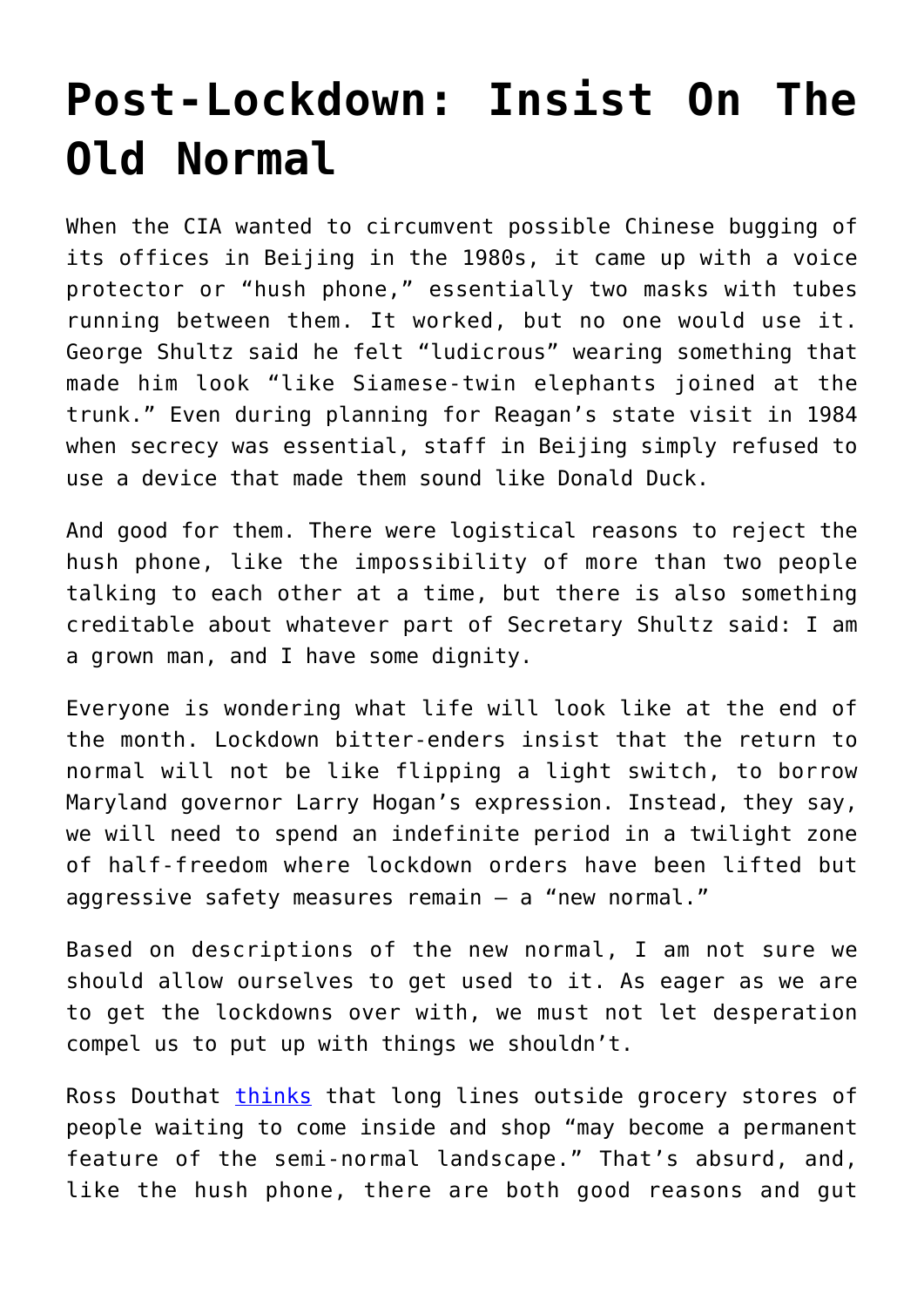## **[Post-Lockdown: Insist On The](https://intellectualtakeout.org/2020/05/post-lockdown-insist-on-the-old-normal/) [Old Normal](https://intellectualtakeout.org/2020/05/post-lockdown-insist-on-the-old-normal/)**

When the CIA wanted to circumvent possible Chinese bugging of its offices in Beijing in the 1980s, it came up with a voice protector or "hush phone," essentially two masks with tubes running between them. It worked, but no one would use it. George Shultz said he felt "ludicrous" wearing something that made him look "like Siamese-twin elephants joined at the trunk." Even during planning for Reagan's state visit in 1984 when secrecy was essential, staff in Beijing simply refused to use a device that made them sound like Donald Duck.

And good for them. There were logistical reasons to reject the hush phone, like the impossibility of more than two people talking to each other at a time, but there is also something creditable about whatever part of Secretary Shultz said: I am a grown man, and I have some dignity.

Everyone is wondering what life will look like at the end of the month. Lockdown bitter-enders insist that the return to normal will not be like flipping a light switch, to borrow Maryland governor Larry Hogan's expression. Instead, they say, we will need to spend an indefinite period in a twilight zone of half-freedom where lockdown orders have been lifted but aggressive safety measures remain — a "new normal."

Based on descriptions of the new normal, I am not sure we should allow ourselves to get used to it. As eager as we are to get the lockdowns over with, we must not let desperation compel us to put up with things we shouldn't.

Ross Douthat [thinks](https://www.nytimes.com/2020/04/04/opinion/sunday/coronavirus-covid-19.html) that long lines outside grocery stores of people waiting to come inside and shop "may become a permanent feature of the semi-normal landscape." That's absurd, and, like the hush phone, there are both good reasons and gut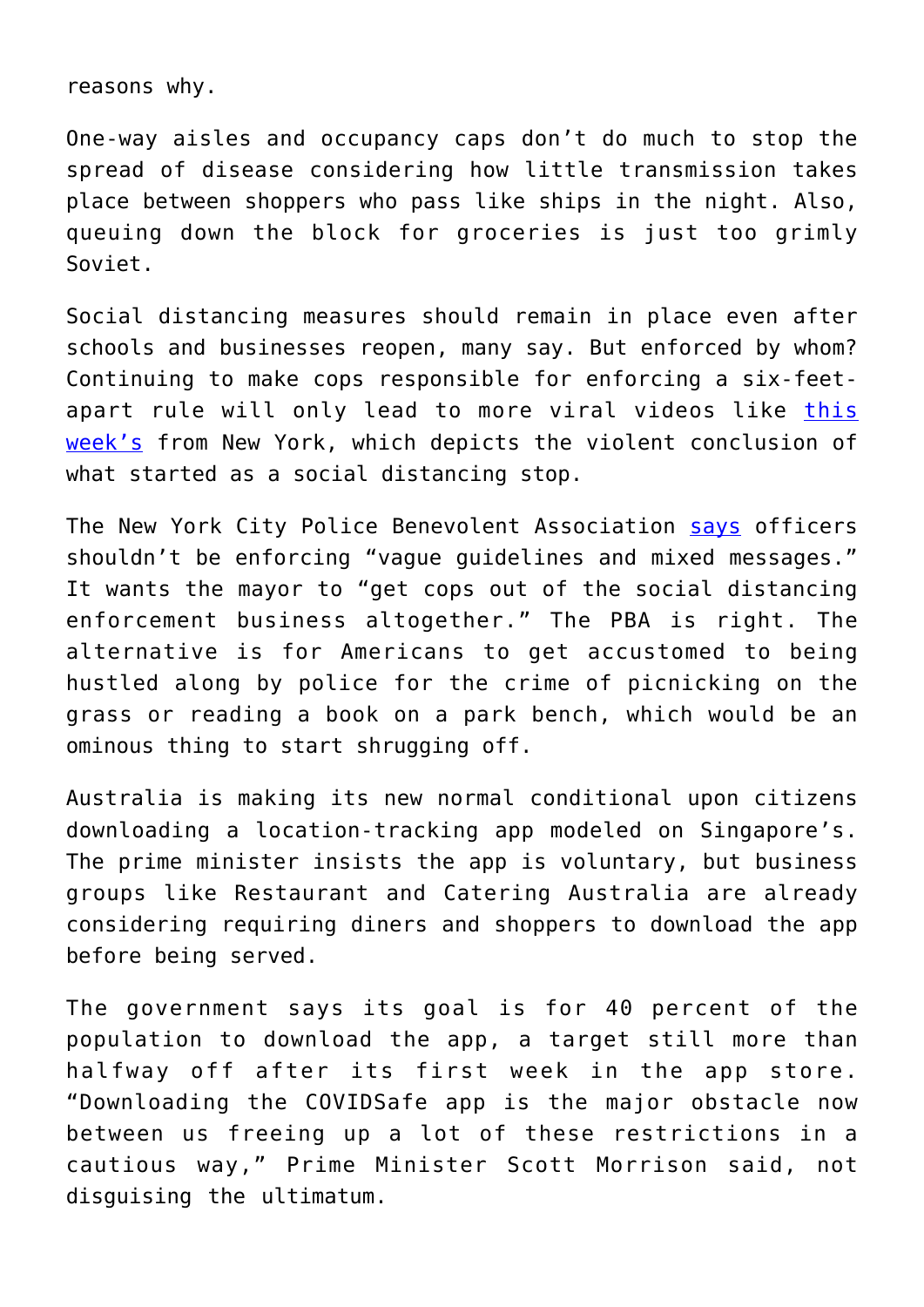reasons why.

One-way aisles and occupancy caps don't do much to stop the spread of disease considering how little transmission takes place between shoppers who pass like ships in the night. Also, queuing down the block for groceries is just too grimly Soviet.

Social distancing measures should remain in place even after schools and businesses reopen, many say. But enforced by whom? Continuing to make cops responsible for enforcing a six-feetapart rule will only lead to more viral videos like [this](https://time.com/5831717/nypd-arrests-coronavirus-social-distancing/) [week's](https://time.com/5831717/nypd-arrests-coronavirus-social-distancing/) from New York, which depicts the violent conclusion of what started as a social distancing stop.

The New York City Police Benevolent Association [says](https://twitter.com/NYCPBA/status/1257331642496102407) officers shouldn't be enforcing "vague guidelines and mixed messages." It wants the mayor to "get cops out of the social distancing enforcement business altogether." The PBA is right. The alternative is for Americans to get accustomed to being hustled along by police for the crime of picnicking on the grass or reading a book on a park bench, which would be an ominous thing to start shrugging off.

Australia is making its new normal conditional upon citizens downloading a location-tracking app modeled on Singapore's. The prime minister insists the app is voluntary, but business groups like Restaurant and Catering Australia are already considering requiring diners and shoppers to download the app before being served.

The government says its goal is for 40 percent of the population to download the app, a target still more than halfway off after its first week in the app store. "Downloading the COVIDSafe app is the major obstacle now between us freeing up a lot of these restrictions in a cautious way," Prime Minister Scott Morrison said, not disguising the ultimatum.